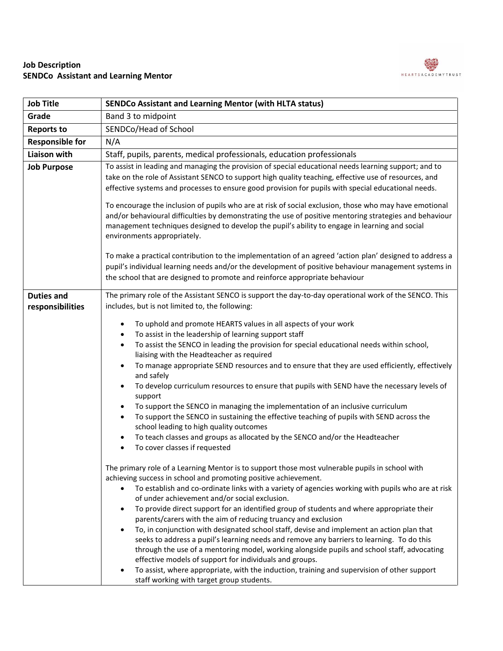

## **Job Description SENDCo Assistant and Learning Mentor**

| <b>Job Title</b>                      | <b>SENDCo Assistant and Learning Mentor (with HLTA status)</b>                                                                                                                                                                                                                                                                                                                                                                                                                                                                                                                                                                                                                                                                                                                                                                                                                                                                                                                                                                                                                                                                                                                                                                                                                                                                                                                                                                                                                                                                                                                                                                                                                                                                                                                                                                                                                                                                                                                                                                                                                                |
|---------------------------------------|-----------------------------------------------------------------------------------------------------------------------------------------------------------------------------------------------------------------------------------------------------------------------------------------------------------------------------------------------------------------------------------------------------------------------------------------------------------------------------------------------------------------------------------------------------------------------------------------------------------------------------------------------------------------------------------------------------------------------------------------------------------------------------------------------------------------------------------------------------------------------------------------------------------------------------------------------------------------------------------------------------------------------------------------------------------------------------------------------------------------------------------------------------------------------------------------------------------------------------------------------------------------------------------------------------------------------------------------------------------------------------------------------------------------------------------------------------------------------------------------------------------------------------------------------------------------------------------------------------------------------------------------------------------------------------------------------------------------------------------------------------------------------------------------------------------------------------------------------------------------------------------------------------------------------------------------------------------------------------------------------------------------------------------------------------------------------------------------------|
| Grade                                 | Band 3 to midpoint                                                                                                                                                                                                                                                                                                                                                                                                                                                                                                                                                                                                                                                                                                                                                                                                                                                                                                                                                                                                                                                                                                                                                                                                                                                                                                                                                                                                                                                                                                                                                                                                                                                                                                                                                                                                                                                                                                                                                                                                                                                                            |
| <b>Reports to</b>                     | SENDCo/Head of School                                                                                                                                                                                                                                                                                                                                                                                                                                                                                                                                                                                                                                                                                                                                                                                                                                                                                                                                                                                                                                                                                                                                                                                                                                                                                                                                                                                                                                                                                                                                                                                                                                                                                                                                                                                                                                                                                                                                                                                                                                                                         |
| <b>Responsible for</b>                | N/A                                                                                                                                                                                                                                                                                                                                                                                                                                                                                                                                                                                                                                                                                                                                                                                                                                                                                                                                                                                                                                                                                                                                                                                                                                                                                                                                                                                                                                                                                                                                                                                                                                                                                                                                                                                                                                                                                                                                                                                                                                                                                           |
| <b>Liaison with</b>                   | Staff, pupils, parents, medical professionals, education professionals                                                                                                                                                                                                                                                                                                                                                                                                                                                                                                                                                                                                                                                                                                                                                                                                                                                                                                                                                                                                                                                                                                                                                                                                                                                                                                                                                                                                                                                                                                                                                                                                                                                                                                                                                                                                                                                                                                                                                                                                                        |
| <b>Job Purpose</b>                    | To assist in leading and managing the provision of special educational needs learning support; and to<br>take on the role of Assistant SENCO to support high quality teaching, effective use of resources, and<br>effective systems and processes to ensure good provision for pupils with special educational needs.<br>To encourage the inclusion of pupils who are at risk of social exclusion, those who may have emotional<br>and/or behavioural difficulties by demonstrating the use of positive mentoring strategies and behaviour<br>management techniques designed to develop the pupil's ability to engage in learning and social<br>environments appropriately.<br>To make a practical contribution to the implementation of an agreed 'action plan' designed to address a<br>pupil's individual learning needs and/or the development of positive behaviour management systems in<br>the school that are designed to promote and reinforce appropriate behaviour                                                                                                                                                                                                                                                                                                                                                                                                                                                                                                                                                                                                                                                                                                                                                                                                                                                                                                                                                                                                                                                                                                                 |
| <b>Duties and</b><br>responsibilities | The primary role of the Assistant SENCO is support the day-to-day operational work of the SENCO. This<br>includes, but is not limited to, the following:<br>To uphold and promote HEARTS values in all aspects of your work<br>$\bullet$<br>To assist in the leadership of learning support staff<br>٠<br>To assist the SENCO in leading the provision for special educational needs within school,<br>$\bullet$<br>liaising with the Headteacher as required<br>To manage appropriate SEND resources and to ensure that they are used efficiently, effectively<br>$\bullet$<br>and safely<br>To develop curriculum resources to ensure that pupils with SEND have the necessary levels of<br>$\bullet$<br>support<br>To support the SENCO in managing the implementation of an inclusive curriculum<br>To support the SENCO in sustaining the effective teaching of pupils with SEND across the<br>school leading to high quality outcomes<br>To teach classes and groups as allocated by the SENCO and/or the Headteacher<br>$\bullet$<br>To cover classes if requested<br>The primary role of a Learning Mentor is to support those most vulnerable pupils in school with<br>achieving success in school and promoting positive achievement.<br>To establish and co-ordinate links with a variety of agencies working with pupils who are at risk<br>$\bullet$<br>of under achievement and/or social exclusion.<br>To provide direct support for an identified group of students and where appropriate their<br>$\bullet$<br>parents/carers with the aim of reducing truancy and exclusion<br>To, in conjunction with designated school staff, devise and implement an action plan that<br>seeks to address a pupil's learning needs and remove any barriers to learning. To do this<br>through the use of a mentoring model, working alongside pupils and school staff, advocating<br>effective models of support for individuals and groups.<br>To assist, where appropriate, with the induction, training and supervision of other support<br>staff working with target group students. |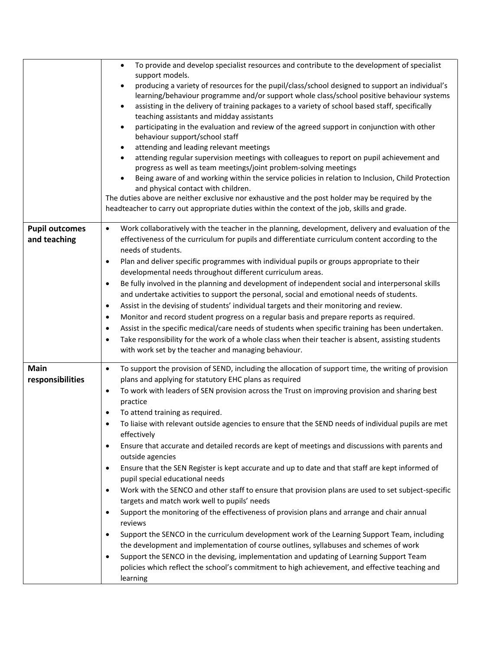|                                       | To provide and develop specialist resources and contribute to the development of specialist<br>$\bullet$<br>support models.<br>producing a variety of resources for the pupil/class/school designed to support an individual's<br>$\bullet$<br>learning/behaviour programme and/or support whole class/school positive behaviour systems<br>assisting in the delivery of training packages to a variety of school based staff, specifically<br>$\bullet$<br>teaching assistants and midday assistants<br>participating in the evaluation and review of the agreed support in conjunction with other<br>$\bullet$<br>behaviour support/school staff<br>attending and leading relevant meetings<br>٠<br>attending regular supervision meetings with colleagues to report on pupil achievement and<br>$\bullet$<br>progress as well as team meetings/joint problem-solving meetings<br>Being aware of and working within the service policies in relation to Inclusion, Child Protection<br>$\bullet$<br>and physical contact with children.<br>The duties above are neither exclusive nor exhaustive and the post holder may be required by the<br>headteacher to carry out appropriate duties within the context of the job, skills and grade.                                                                                                                                                                                                     |
|---------------------------------------|---------------------------------------------------------------------------------------------------------------------------------------------------------------------------------------------------------------------------------------------------------------------------------------------------------------------------------------------------------------------------------------------------------------------------------------------------------------------------------------------------------------------------------------------------------------------------------------------------------------------------------------------------------------------------------------------------------------------------------------------------------------------------------------------------------------------------------------------------------------------------------------------------------------------------------------------------------------------------------------------------------------------------------------------------------------------------------------------------------------------------------------------------------------------------------------------------------------------------------------------------------------------------------------------------------------------------------------------------------------------------------------------------------------------------------------------------|
| <b>Pupil outcomes</b><br>and teaching | Work collaboratively with the teacher in the planning, development, delivery and evaluation of the<br>$\bullet$<br>effectiveness of the curriculum for pupils and differentiate curriculum content according to the<br>needs of students.<br>Plan and deliver specific programmes with individual pupils or groups appropriate to their<br>$\bullet$<br>developmental needs throughout different curriculum areas.<br>Be fully involved in the planning and development of independent social and interpersonal skills<br>$\bullet$<br>and undertake activities to support the personal, social and emotional needs of students.<br>Assist in the devising of students' individual targets and their monitoring and review.<br>$\bullet$<br>Monitor and record student progress on a regular basis and prepare reports as required.<br>$\bullet$<br>Assist in the specific medical/care needs of students when specific training has been undertaken.<br>$\bullet$<br>Take responsibility for the work of a whole class when their teacher is absent, assisting students<br>with work set by the teacher and managing behaviour.                                                                                                                                                                                                                                                                                                                  |
| <b>Main</b><br>responsibilities       | To support the provision of SEND, including the allocation of support time, the writing of provision<br>$\bullet$<br>plans and applying for statutory EHC plans as required<br>To work with leaders of SEN provision across the Trust on improving provision and sharing best<br>$\bullet$<br>practice<br>To attend training as required.<br>To liaise with relevant outside agencies to ensure that the SEND needs of individual pupils are met<br>$\bullet$<br>effectively<br>Ensure that accurate and detailed records are kept of meetings and discussions with parents and<br>$\bullet$<br>outside agencies<br>Ensure that the SEN Register is kept accurate and up to date and that staff are kept informed of<br>٠<br>pupil special educational needs<br>Work with the SENCO and other staff to ensure that provision plans are used to set subject-specific<br>targets and match work well to pupils' needs<br>Support the monitoring of the effectiveness of provision plans and arrange and chair annual<br>٠<br>reviews<br>Support the SENCO in the curriculum development work of the Learning Support Team, including<br>$\bullet$<br>the development and implementation of course outlines, syllabuses and schemes of work<br>Support the SENCO in the devising, implementation and updating of Learning Support Team<br>policies which reflect the school's commitment to high achievement, and effective teaching and<br>learning |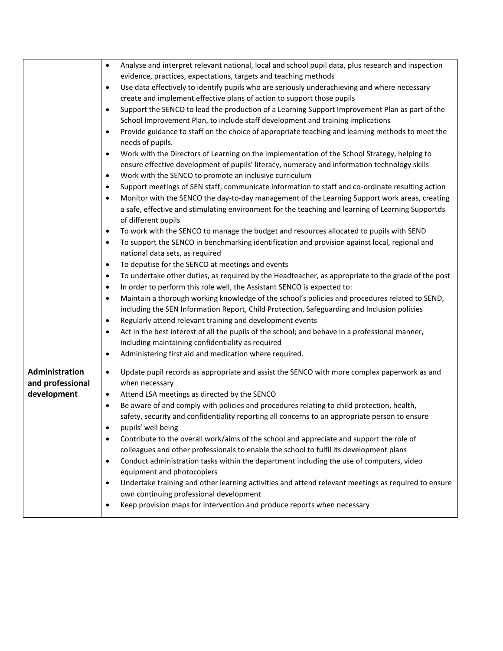| Analyse and interpret relevant national, local and school pupil data, plus research and inspection<br>$\bullet$<br>evidence, practices, expectations, targets and teaching methods<br>Use data effectively to identify pupils who are seriously underachieving and where necessary<br>$\bullet$<br>create and implement effective plans of action to support those pupils<br>Support the SENCO to lead the production of a Learning Support Improvement Plan as part of the<br>$\bullet$<br>School Improvement Plan, to include staff development and training implications<br>Provide guidance to staff on the choice of appropriate teaching and learning methods to meet the<br>$\bullet$<br>needs of pupils.<br>Work with the Directors of Learning on the implementation of the School Strategy, helping to<br>$\bullet$<br>ensure effective development of pupils' literacy, numeracy and information technology skills<br>Work with the SENCO to promote an inclusive curriculum<br>$\bullet$<br>Support meetings of SEN staff, communicate information to staff and co-ordinate resulting action<br>$\bullet$<br>Monitor with the SENCO the day-to-day management of the Learning Support work areas, creating<br>$\bullet$<br>a safe, effective and stimulating environment for the teaching and learning of Learning Supportds<br>of different pupils<br>To work with the SENCO to manage the budget and resources allocated to pupils with SEND<br>$\bullet$<br>To support the SENCO in benchmarking identification and provision against local, regional and<br>$\bullet$<br>national data sets, as required<br>To deputise for the SENCO at meetings and events<br>$\bullet$<br>To undertake other duties, as required by the Headteacher, as appropriate to the grade of the post<br>$\bullet$<br>In order to perform this role well, the Assistant SENCO is expected to:<br>$\bullet$<br>Maintain a thorough working knowledge of the school's policies and procedures related to SEND,<br>$\bullet$<br>including the SEN Information Report, Child Protection, Safeguarding and Inclusion policies<br>Regularly attend relevant training and development events<br>$\bullet$ |
|----------------------------------------------------------------------------------------------------------------------------------------------------------------------------------------------------------------------------------------------------------------------------------------------------------------------------------------------------------------------------------------------------------------------------------------------------------------------------------------------------------------------------------------------------------------------------------------------------------------------------------------------------------------------------------------------------------------------------------------------------------------------------------------------------------------------------------------------------------------------------------------------------------------------------------------------------------------------------------------------------------------------------------------------------------------------------------------------------------------------------------------------------------------------------------------------------------------------------------------------------------------------------------------------------------------------------------------------------------------------------------------------------------------------------------------------------------------------------------------------------------------------------------------------------------------------------------------------------------------------------------------------------------------------------------------------------------------------------------------------------------------------------------------------------------------------------------------------------------------------------------------------------------------------------------------------------------------------------------------------------------------------------------------------------------------------------------------------------------------------------------------------------------------------------------------------|
| Act in the best interest of all the pupils of the school; and behave in a professional manner,<br>$\bullet$<br>including maintaining confidentiality as required                                                                                                                                                                                                                                                                                                                                                                                                                                                                                                                                                                                                                                                                                                                                                                                                                                                                                                                                                                                                                                                                                                                                                                                                                                                                                                                                                                                                                                                                                                                                                                                                                                                                                                                                                                                                                                                                                                                                                                                                                             |
| Administering first aid and medication where required.<br>$\bullet$                                                                                                                                                                                                                                                                                                                                                                                                                                                                                                                                                                                                                                                                                                                                                                                                                                                                                                                                                                                                                                                                                                                                                                                                                                                                                                                                                                                                                                                                                                                                                                                                                                                                                                                                                                                                                                                                                                                                                                                                                                                                                                                          |
| Update pupil records as appropriate and assist the SENCO with more complex paperwork as and<br>$\bullet$<br>when necessary<br>Attend LSA meetings as directed by the SENCO<br>$\bullet$<br>Be aware of and comply with policies and procedures relating to child protection, health,<br>$\bullet$<br>safety, security and confidentiality reporting all concerns to an appropriate person to ensure<br>pupils' well being<br>$\bullet$<br>Contribute to the overall work/aims of the school and appreciate and support the role of<br>$\bullet$<br>colleagues and other professionals to enable the school to fulfil its development plans<br>Conduct administration tasks within the department including the use of computers, video<br>$\bullet$<br>equipment and photocopiers<br>Undertake training and other learning activities and attend relevant meetings as required to ensure<br>$\bullet$<br>own continuing professional development<br>Keep provision maps for intervention and produce reports when necessary<br>٠                                                                                                                                                                                                                                                                                                                                                                                                                                                                                                                                                                                                                                                                                                                                                                                                                                                                                                                                                                                                                                                                                                                                                             |
|                                                                                                                                                                                                                                                                                                                                                                                                                                                                                                                                                                                                                                                                                                                                                                                                                                                                                                                                                                                                                                                                                                                                                                                                                                                                                                                                                                                                                                                                                                                                                                                                                                                                                                                                                                                                                                                                                                                                                                                                                                                                                                                                                                                              |